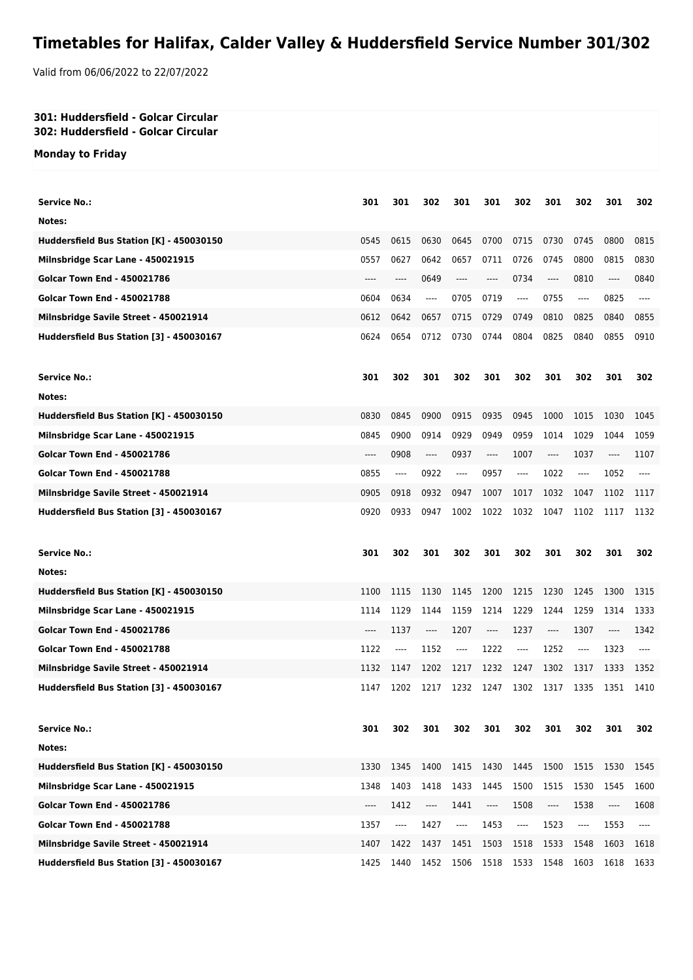## **Timetables for Halifax, Calder Valley & Huddersfield Service Number 301/302**

Valid from 06/06/2022 to 22/07/2022

## **301: Huddersfield - Golcar Circular 302: Huddersfield - Golcar Circular**

**Monday to Friday**

| <b>Service No.:</b>                      | 301   | 301     | 302                                                                                                                                                                                                                                                                                                                                                                             | 301   | 301   | 302                           | 301   | 302     | 301  | 302   |
|------------------------------------------|-------|---------|---------------------------------------------------------------------------------------------------------------------------------------------------------------------------------------------------------------------------------------------------------------------------------------------------------------------------------------------------------------------------------|-------|-------|-------------------------------|-------|---------|------|-------|
| Notes:                                   |       |         |                                                                                                                                                                                                                                                                                                                                                                                 |       |       |                               |       |         |      |       |
| Huddersfield Bus Station [K] - 450030150 | 0545  | 0615    | 0630                                                                                                                                                                                                                                                                                                                                                                            | 0645  | 0700  | 0715                          | 0730  | 0745    | 0800 | 0815  |
| Milnsbridge Scar Lane - 450021915        | 0557  | 0627    | 0642                                                                                                                                                                                                                                                                                                                                                                            | 0657  | 0711  | 0726                          | 0745  | 0800    | 0815 | 0830  |
| <b>Golcar Town End - 450021786</b>       | $---$ | ----    | 0649                                                                                                                                                                                                                                                                                                                                                                            | $---$ | $---$ | 0734                          | ----  | 0810    | ---- | 0840  |
| <b>Golcar Town End - 450021788</b>       | 0604  | 0634    | ----                                                                                                                                                                                                                                                                                                                                                                            | 0705  | 0719  | $\cdots$                      | 0755  | $---$   | 0825 | $---$ |
| Milnsbridge Savile Street - 450021914    | 0612  | 0642    | 0657                                                                                                                                                                                                                                                                                                                                                                            | 0715  | 0729  | 0749                          | 0810  | 0825    | 0840 | 0855  |
| Huddersfield Bus Station [3] - 450030167 | 0624  | 0654    | 0712                                                                                                                                                                                                                                                                                                                                                                            | 0730  | 0744  | 0804                          | 0825  | 0840    | 0855 | 0910  |
| <b>Service No.:</b>                      | 301   | 302     | 301                                                                                                                                                                                                                                                                                                                                                                             | 302   | 301   | 302                           | 301   | 302     | 301  | 302   |
| Notes:                                   |       |         |                                                                                                                                                                                                                                                                                                                                                                                 |       |       |                               |       |         |      |       |
| Huddersfield Bus Station [K] - 450030150 | 0830  | 0845    | 0900                                                                                                                                                                                                                                                                                                                                                                            | 0915  | 0935  | 0945                          | 1000  | 1015    | 1030 | 1045  |
| Milnsbridge Scar Lane - 450021915        | 0845  | 0900    | 0914                                                                                                                                                                                                                                                                                                                                                                            | 0929  | 0949  | 0959                          | 1014  | 1029    | 1044 | 1059  |
| <b>Golcar Town End - 450021786</b>       | ----  | 0908    | $---$                                                                                                                                                                                                                                                                                                                                                                           | 0937  | ----  | 1007                          | $---$ | 1037    | ---- | 1107  |
| <b>Golcar Town End - 450021788</b>       | 0855  | $-----$ | 0922                                                                                                                                                                                                                                                                                                                                                                            | ----  | 0957  | ----                          | 1022  | $---$   | 1052 | $---$ |
| Milnsbridge Savile Street - 450021914    | 0905  | 0918    | 0932                                                                                                                                                                                                                                                                                                                                                                            | 0947  | 1007  | 1017                          | 1032  | 1047    | 1102 | 1117  |
| Huddersfield Bus Station [3] - 450030167 | 0920  | 0933    | 0947                                                                                                                                                                                                                                                                                                                                                                            | 1002  | 1022  | 1032                          | 1047  | 1102    | 1117 | 1132  |
| <b>Service No.:</b>                      | 301   | 302     | 301                                                                                                                                                                                                                                                                                                                                                                             | 302   | 301   | 302                           | 301   | 302     | 301  | 302   |
| Notes:                                   |       |         |                                                                                                                                                                                                                                                                                                                                                                                 |       |       |                               |       |         |      |       |
| Huddersfield Bus Station [K] - 450030150 | 1100  | 1115    | 1130                                                                                                                                                                                                                                                                                                                                                                            | 1145  | 1200  | 1215                          | 1230  | 1245    | 1300 | 1315  |
| Milnsbridge Scar Lane - 450021915        | 1114  | 1129    | 1144                                                                                                                                                                                                                                                                                                                                                                            | 1159  | 1214  | 1229                          | 1244  | 1259    | 1314 | 1333  |
| <b>Golcar Town End - 450021786</b>       | ----  | 1137    | ----                                                                                                                                                                                                                                                                                                                                                                            | 1207  | ----  | 1237                          | $---$ | 1307    | ---- | 1342  |
| <b>Golcar Town End - 450021788</b>       | 1122  | ----    | 1152                                                                                                                                                                                                                                                                                                                                                                            | $---$ | 1222  | $---$                         | 1252  | $-----$ | 1323 | $---$ |
| Milnsbridge Savile Street - 450021914    | 1132  | 1147    | 1202                                                                                                                                                                                                                                                                                                                                                                            | 1217  | 1232  | 1247                          | 1302  | 1317    | 1333 | 1352  |
| Huddersfield Bus Station [3] - 450030167 |       |         |                                                                                                                                                                                                                                                                                                                                                                                 |       |       |                               |       |         |      |       |
|                                          | 1147  | 1202    | 1217                                                                                                                                                                                                                                                                                                                                                                            | 1232  | 1247  | 1302                          | 1317  | 1335    | 1351 | 1410  |
| <b>Service No.:</b>                      | 301   | 302     | 301                                                                                                                                                                                                                                                                                                                                                                             | 302   | 301   | 302                           | 301   | 302     | 301  | 302   |
| Notes:                                   |       |         |                                                                                                                                                                                                                                                                                                                                                                                 |       |       |                               |       |         |      |       |
| Huddersfield Bus Station [K] - 450030150 | 1330  | 1345    | 1400                                                                                                                                                                                                                                                                                                                                                                            | 1415  | 1430  | 1445                          | 1500  | 1515    | 1530 | 1545  |
| Milnsbridge Scar Lane - 450021915        | 1348  | 1403    | 1418                                                                                                                                                                                                                                                                                                                                                                            | 1433  | 1445  | 1500                          | 1515  | 1530    | 1545 | 1600  |
| <b>Golcar Town End - 450021786</b>       | ----  | 1412    | $\hspace{0.01em}\rule{0.7pt}{0.1em}\hspace{0.01em}\hspace{0.01em}\hspace{0.01em}\hspace{0.01em}\hspace{0.01em}\hspace{0.01em}\hspace{0.01em}\hspace{0.01em}\hspace{0.01em}\hspace{0.01em}\hspace{0.01em}\hspace{0.01em}\hspace{0.01em}\hspace{0.01em}\hspace{0.01em}\hspace{0.01em}\hspace{0.01em}\hspace{0.01em}\hspace{0.01em}\hspace{0.01em}\hspace{0.01em}\hspace{0.01em}\$ | 1441  | ----  | 1508                          | ----  | 1538    | ---- | 1608  |
| <b>Golcar Town End - 450021788</b>       | 1357  | ----    | 1427                                                                                                                                                                                                                                                                                                                                                                            | ----  | 1453  | $\hspace{1.5cm} \textbf{---}$ | 1523  | ----    | 1553 | ----  |
| Milnsbridge Savile Street - 450021914    | 1407  | 1422    | 1437                                                                                                                                                                                                                                                                                                                                                                            | 1451  | 1503  | 1518                          | 1533  | 1548    | 1603 | 1618  |